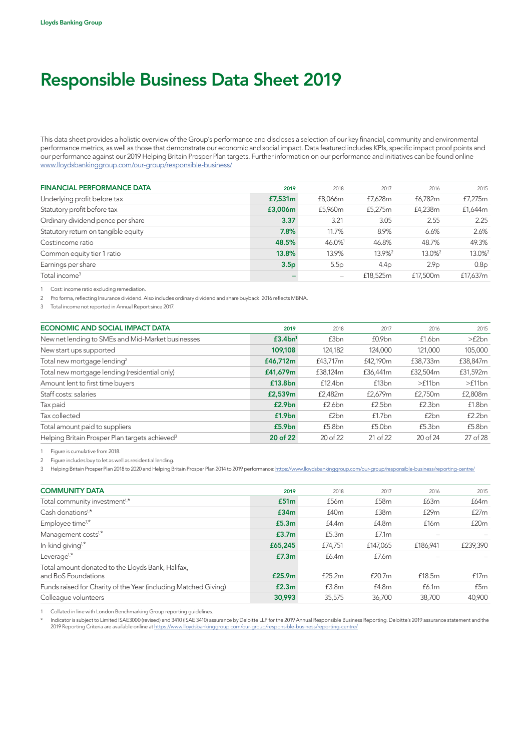## Responsible Business Data Sheet 2019

This data sheet provides a holistic overview of the Group's performance and discloses a selection of our key financial, community and environmental performance metrics, as well as those that demonstrate our economic and social impact. Data featured includes KPIs, specific impact proof points and our performance against our 2019 Helping Britain Prosper Plan targets. Further information on our performance and initiatives can be found online [www.lloydsbankinggroup.com/our-group/responsible-business/](http://www.lloydsbankinggroup.com/our-group/responsible-business/)

| <b>FINANCIAL PERFORMANCE DATA</b>   | 2019             | 2018    | 2017               | 2016               | 2015               |
|-------------------------------------|------------------|---------|--------------------|--------------------|--------------------|
| Underlying profit before tax        | £7,531m          | £8.066m | £7.628m            | £6.782m            | £7,275m            |
| Statutory profit before tax         | £3,006m          | £5,960m | £5,275m            | £4,238m            | £1,644m            |
| Ordinary dividend pence per share   | 3.37             | 3.21    | 3.05               | 2.55               | 2.25               |
| Statutory return on tangible equity | 7.8%             | 11.7%   | 8.9%               | 6.6%               | 2.6%               |
| Cost:income ratio                   | 48.5%            | 46.0%   | 46.8%              | 48.7%              | 49.3%              |
| Common equity tier 1 ratio          | 13.8%            | 13.9%   | 13.9% <sup>2</sup> | 13.0% <sup>2</sup> | 13.0% <sup>2</sup> |
| Earnings per share                  | 3.5 <sub>p</sub> | 5.5p    | 4.4 <sub>p</sub>   | 2.9 <sub>p</sub>   | 0.8 <sub>p</sub>   |
| Total income <sup>3</sup>           |                  |         | £18,525m           | £17,500m           | £17.637m           |

1 Cost: income ratio excluding remediation.

2 Pro forma, reflecting Insurance dividend. Also includes ordinary dividend and share buyback. 2016 reflects MBNA.

3 Total income not reported in Annual Report since 2017.

| ECONOMIC AND SOCIAL IMPACT DATA                            | 2019                | 2018     | 2017               | 2016             | 2015     |
|------------------------------------------------------------|---------------------|----------|--------------------|------------------|----------|
| New net lending to SMEs and Mid-Market businesses          | £3.4bn <sup>1</sup> | £3bn     | £0.9 <sub>bn</sub> | f1.6bn           | >f2bn    |
| New start ups supported                                    | 109,108             | 124,182  | 124,000            | 121.000          | 105,000  |
| Total new mortgage lending <sup>2</sup>                    | £46,712m            | £43,717m | £42.190m           | £38,733m         | £38,847m |
| Total new mortgage lending (residential only)              | £41,679m            | £38,124m | £36,441m           | £32,504m         | £31,592m |
| Amount lent to first time buyers                           | £13.8bn             | £12.4bn  | £13 <sub>bn</sub>  | >f11bn           | >f11bn   |
| Staff costs: salaries                                      | £2,539m             | £2,482m  | £2,679m            | £2,750m          | £2,808m  |
| Tax paid                                                   | £2.9bn              | £2.6bn   | £2.5bn             | £2.3bn           | £1.8bn   |
| Tax collected                                              | £1.9 <sub>bn</sub>  | £2bn     | f1.7bn             | £2 <sub>bn</sub> | f2.2bn   |
| Total amount paid to suppliers                             | £5.9 <sub>bn</sub>  | £5.8bn   | £5.0bn             | £5.3bn           | £5.8bn   |
| Helping Britain Prosper Plan targets achieved <sup>3</sup> | 20 of 22            | 20 of 22 | 21 of 22           | 20 of 24         | 27 of 28 |
|                                                            |                     |          |                    |                  |          |

1 Figure is cumulative from 2018.

2 Figure includes buy to let as well as residential lending.

3 Helping Britain Prosper Plan 2018 to 2020 and Helping Britain Prosper Plan 2014 to 2019 performance: https://www.lloydsbankinggroup.com/our-group/responsible-business/reporting-centre/

| <b>COMMUNITY DATA</b>                                                    | 2019               | 2018    | 2017             | 2016     | 2015     |
|--------------------------------------------------------------------------|--------------------|---------|------------------|----------|----------|
| Total community investment <sup>1,*</sup>                                | £51m               | £56m    | £58 <sub>m</sub> | £63m     | £64m     |
| Cash donations <sup>1,*</sup>                                            | £34m               | £40m    | £38m             | £29m     | f27m     |
| Employee time <sup>1,*</sup>                                             | £5.3m              | f4.4m   | £4.8m            | £16m     | £20m     |
| Management costs <sup>1,*</sup>                                          | £3.7m              | £5.3m   | £7.1m            |          |          |
| In-kind giving <sup>1,*</sup>                                            | £65,245            | £74.751 | £147,065         | £186,941 | £239,390 |
| Leverage <sup>1,*</sup>                                                  | £7.3m              | £6.4m   | £7.6m            |          |          |
| Total amount donated to the Lloyds Bank, Halifax,<br>and BoS Foundations | £25.9 <sub>m</sub> | f25.2m  | f20.7m           | £18.5m   | f17m     |
| Funds raised for Charity of the Year (including Matched Giving)          | £2.3m              | £3.8m   | £4.8m            | £6.1m    | £5m      |
| Colleague volunteers                                                     | 30,993             | 35,575  | 36,700           | 38,700   | 40,900   |

1 Collated in line with London Benchmarking Group reporting guidelines.

\* Indicator is subject to Limited ISAE3000 (revised) and 3410 (ISAE 3410) assurance by Deloitte LLP for the 2019 Annual Responsible Business Reporting. Deloitte's 2019 assurance statement and the 2019 Reporting Criteria are available online at<https://www.lloydsbankinggroup.com/our-group/responsible-business/reporting-centre/>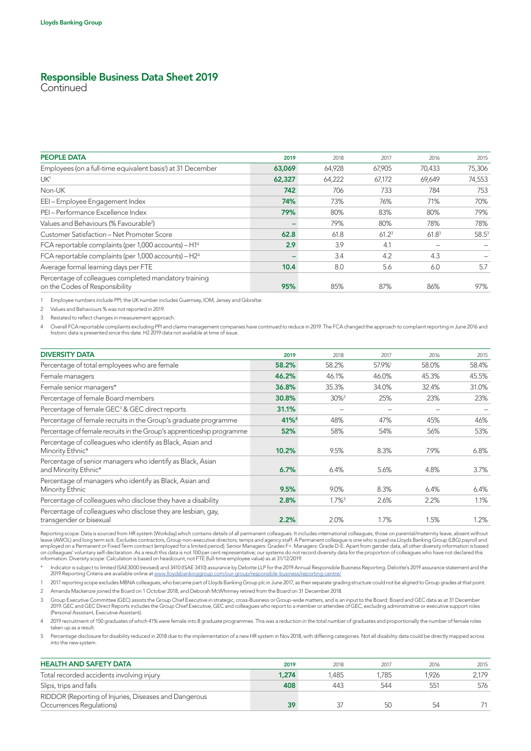## Responsible Business Data Sheet 2019

**Continued** 

| <b>PEOPLE DATA</b>                                                                      | 2019   | 2018   | 2017              | 2016              | 2015     |
|-----------------------------------------------------------------------------------------|--------|--------|-------------------|-------------------|----------|
| Employees (on a full-time equivalent basis <sup>1</sup> ) at 31 December                | 63,069 | 64,928 | 67,905            | 70,433            | 75,306   |
| UK <sup>1</sup>                                                                         | 62,327 | 64,222 | 67,172            | 69,649            | 74,553   |
| Non-UK                                                                                  | 742    | 706    | 733               | 784               | 753      |
| EEI-Employee Engagement Index                                                           | 74%    | 73%    | 76%               | 71%               | 70%      |
| PEI - Performance Excellence Index                                                      | 79%    | 80%    | 83%               | 80%               | 79%      |
| Values and Behaviours (% Favourable <sup>2</sup> )                                      |        | 79%    | 80%               | 78%               | 78%      |
| Customer Satisfaction - Net Promoter Score                                              | 62.8   | 61.8   | 61.2 <sup>3</sup> | 61.8 <sup>3</sup> | $58.5^3$ |
| FCA reportable complaints (per 1,000 accounts) - H1 <sup>4</sup>                        | 2.9    | 3.9    | 4.1               |                   |          |
| FCA reportable complaints (per 1,000 accounts) - H2 <sup>4</sup>                        |        | 3.4    | 4.2               | 4.3               |          |
| Average formal learning days per FTE                                                    | 10.4   | 8.0    | 5.6               | 6.0               | 5.7      |
| Percentage of colleagues completed mandatory training<br>on the Codes of Responsibility | 95%    | 85%    | 87%               | 86%               | 97%      |

1 Employee numbers include PPI; the UK number includes Guernsey, IOM, Jersey and Gibraltar.

2 Values and Behaviours % was not reported in 2019.

3 Restated to reflect changes in measurement approach.

Overall FCA reportable complaints excluding PPI and claims management companies have continued to reduce in 2019. The FCA changed the approach to complaint reporting in June 2016 and<br>historic data is presented since this d

| <b>DIVERSITY DATA</b>                                                                   | 2019             | 2018                 | 2017  | 2016  | 2015  |
|-----------------------------------------------------------------------------------------|------------------|----------------------|-------|-------|-------|
| Percentage of total employees who are female                                            | 58.2%            | 58.2%                | 57.9% | 58.0% | 58.4% |
| Female managers                                                                         | 46.2%            | 46.1%                | 46.0% | 45.3% | 45.5% |
| Female senior managers*                                                                 | 36.8%            | 35.3%                | 34.0% | 32.4% | 31.0% |
| Percentage of female Board members                                                      | 30.8%            | $30\%$ <sup>2</sup>  | 25%   | 23%   | 23%   |
| Percentage of female GEC <sup>3</sup> & GEC direct reports                              | 31.1%            |                      |       |       |       |
| Percentage of female recruits in the Group's graduate programme                         | 41% <sup>4</sup> | 48%                  | 47%   | 45%   | 46%   |
| Percentage of female recruits in the Group's apprenticeship programme                   | 52%              | 58%                  | 54%   | 56%   | 53%   |
| Percentage of colleagues who identify as Black, Asian and<br>Minority Ethnic*           | 10.2%            | 9.5%                 | 8.3%  | 7.9%  | 6.8%  |
| Percentage of senior managers who identify as Black, Asian<br>and Minority Ethnic*      | 6.7%             | 6.4%                 | 5.6%  | 4.8%  | 3.7%  |
| Percentage of managers who identify as Black, Asian and<br>Minority Ethnic              | 9.5%             | 9.0%                 | 8.3%  | 6.4%  | 6.4%  |
| Percentage of colleagues who disclose they have a disability                            | 2.8%             | $1.7\%$ <sup>5</sup> | 2.6%  | 2.2%  | 1.1%  |
| Percentage of colleagues who disclose they are lesbian, gay,<br>transgender or bisexual | 2.2%             | 2.0%                 | 1.7%  | 1.5%  | 1.2%  |

Reporting scope: Data is sourced from HR system (Workday) which contains details of all permanent colleagues. It includes international colleagues, those on parental/maternity leave, absent without leave (AWOL) and long term sick. Excludes contractors, Group non-executive directors, temps and agency staff. A Permanent colleague is one who is paid via Lloyds Banking Group (LBG) payroll and<br>employed on a Permanent or F

\* Indicator is subject to limited ISAE3000 (revised) and 3410 (ISAE 3410) assurance by Deloitte LLP for the 2019 Annual Responsible Business Reporting. Deloitte's 2019 assurance statement and the 2019 Reporting Criteria are available online at [www.lloydsbankinggroup.com/our-group/responsible-business/reporting-centre/](http://www.lloydsbankinggroup.com/our-group/responsible-business/reporting-centre/)

1 2017 reporting scope excludes MBNA colleagues, who became part of Lloyds Banking Group plc in June 2017, as their separate grading structure could not be aligned to Group grades at that point. 2 Amanda Mackenzie joined the Board on 1 October 2018, and Deborah McWhinney retired from the Board on 31 December 2018.

Group Executive Committee (GEC) assists the Group Chief Executive in strategic, cross-Business or Group-wide matters, and is an input to the Board. Board and GEC data as at 31 December<br>2019. GEC and GEC Direct Reports incl (Personal Assistant, Executive Assistant).

4 2019 recruitment of 150 graduates of which 41% were female into 8 graduate programmes. This was a reduction in the total number of graduates and proportionally the number of female roles taken up as a result.

5 Percentage disclosure for disability reduced in 2018 due to the implementation of a new HR system in Nov 2018, with differing categories. Not all disability data could be directly mapped across into the new system.

| <b>HEALTH AND SAFETY DATA</b>                                                     | 2019  | 2018  | 2017 | 2016  | 2015  |
|-----------------------------------------------------------------------------------|-------|-------|------|-------|-------|
| Total recorded accidents involving injury                                         | 1.274 | 1.485 | .785 | 1,926 | 2.179 |
| Slips, trips and falls                                                            | 408   | 443   | 544  | 551   | 576   |
| RIDDOR (Reporting of Injuries, Diseases and Dangerous<br>Occurrences Regulations) | 39    |       | 50   | 54    |       |